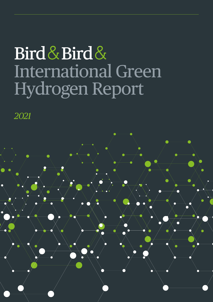# Bird & Bird & International Green Hydrogen Report

*2021*

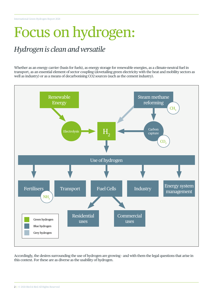## Focus on hydrogen:

### *Hydrogen is clean and versatile*

Whether as an energy carrier (basis for fuels), as energy storage for renewable energies, as a climate-neutral fuel in transport, as an essential element of sector coupling (dovetailing green electricity with the heat and mobility sectors as well as industry) or as a means of decarbonising CO2 sources (such as the cement industry).



Accordingly, the desires surrounding the use of hydrogen are growing - and with them the legal questions that arise in this context. For these are as diverse as the usability of hydrogen.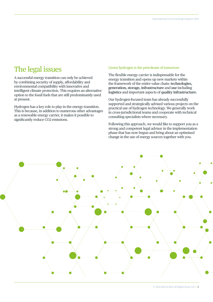### The legal issues

A successful energy transition can only be achieved by combining security of supply, affordability and environmental compatibility with innovative and intelligent climate protection. This requires an alternative option to the fossil fuels that are still predominantly used at present.

Hydrogen has a key role to play in the energy transition. This is because, in addition to numerous other advantages as a renewable energy carrier, it makes it possible to significantly reduce CO2 emissions.

#### Green hydrogen is the petroleum of tomorrow

The flexible energy carrier is indispensable for the energy transition and opens up new markets within the framework of the entire value chain: **technologies, generation, storage, infrastructure** and **use** including **logistics** and important aspects of **quality infrastructure.**

Our hydrogen-focused team has already successfully supported and strategically advised various projects on the practical use of hydrogen technology. We generally work in cross-jurisdictional teams and cooperate with technical consulting specialists where necessary.

Following this approach, we would like to support you as a strong and competent legal advisor in the implementation phase that has now begun and bring about an optimised change in the use of energy sources together with you.

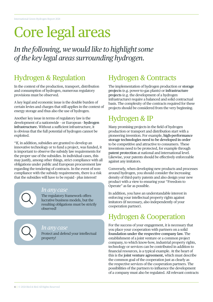## Core legal areas

*In the following, we would like to highlight some of the key legal areas surrounding hydrogen.*

### Hydrogen & Regulation

In the context of the production, transport, distribution and consumption of hydrogen, numerous regulatory provisions must be observed.

A key legal and economic issue is the double burden of certain levies and charges that still applies in the context of energy storage and thus also the use of hydrogen.

Another key issue in terms of regulatory law is the development of a nationwide – or European - **hydrogen infrastructure.** Without a sufficient infrastructure, it is obvious that the full potential of hydrogen cannot be exploited.

"If, in addition, subsidies are granted to develop an innovative technology or to fund a project, was funded, it is important to observe the subsidy law requirements for the proper use of the subsidies. In individual cases, this may justify, among other things, strict compliance with all obligations under public and European procurement law regarding the tendering of contracts. In the event of noncompliance with the subsidy requirements, there is a risk that the subsidies will have to be repaid - plus interest!

### *In any case*

The regulatory framework offers lucrative business models, but the resulting obligations must be strictly observed!

*In any case* Protect and defend your intellectual

property!

### Hydrogen & Contracts

The implementation of hydrogen production or **storage projects** (e.g. power-to-gas plants) or **infrastructure projects** (e.g. the development of a hydrogen infrastructure) require a balanced and solid contractual basis. The complexity of the contracts required for these projects should be considered from the very beginning.

### Hydrogen & IP

Many promising projects in the field of hydrogen production or transport and distribution start with a pioneering invention. For example, **high-performance storage technologies need to be developed in order** to be competitive and attractive to consumers. These inventions need to be protected, for example through **patent protection** at national and international level. Likewise, your patents should be effectively enforceable against any imitators.

Conversely, when developing new products and processes around hydrogen, you should consider the increasing density of third-party patents and also design your new product with a view to ensuring your "Freedom to Operate" as far as possible.

In addition, you have an understandable interest in enforcing your intellectual property rights against imitators (if necessary, also independently of your cooperation partner).

### Hydrogen & Cooperation

For the success of your engagement, it is necessary that you place your cooperation with partners on a solid **foundation under the respective company law.** The establishment of a joint venture or a common project company, to which know-how, industrial property rights, technology or services can be contributed in addition to financial resources, is a typical example. At the heart of this is the **joint venture agreement,** which must describe the common goal of the cooperation just as clearly as the respective services of the cooperation partners. The possibilities of the partners to influence the development of a company must also be regulated. All relevant contracts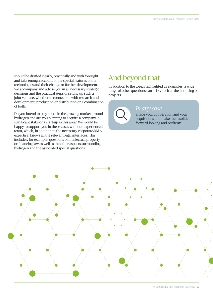should be drafted clearly, practically and with foresight and take enough account of the special features of the technologies and their change or further development. We accompany and advise you in all necessary strategic decisions and the practical steps of setting up such a joint venture, whether in connection with research and development, production or distribution or a combination of both.

Do you intend to play a role in the growing market around hydrogen and are you planning to acquire a company, a significant stake or a start-up in this area? We would be happy to support you in these cases with our experienced team, which, in addition to the necessary corporate/M&A expertise, knows all the relevant legal interfaces. This includes, for example, questions of intellectual property or financing law as well as the other aspects surrounding hydrogen and the associated special questions.

### And beyond that

In addition to the topics highlighted as examples, a wide range of other questions can arise, such as the financing of projects.



### *In any case*

Shape your cooperation and your acquisitions and make them solid, forward-looking and resilient!

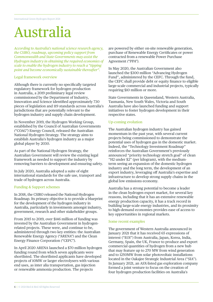## Australia

*According to Australia's national science research agency, the CSIRO, roadmap, upcoming policy support from Commonwealth and State Governments may assist the Hydrogen industry in obtaining the required economies of scale to enable the hydrogen industry to reach a "tipping point and become economically sustainable thereafter".* 

#### Legal framework overview

Although there is currently no specifically targeted regulatory framework for hydrogen production in Australia, a 2019 preliminary legal review commissioned by the Department of Industry, Innovation and Science identified approximately 730 pieces of legislation and 119 standards across Australia's jurisdictions that are potentially relevant to the hydrogen industry and supply chain development.

In November 2019, the Hydrogen Working Group, established by the Council of Australian Governments *("COAG")* Energy Council, released the Australian National Hydrogen Strategy. The strategy aims to establish Australia's hydrogen industry as a major global player by 2030.

As part of the National Hydrogen Strategy, the Australian Government will review the existing legal framework as needed to support the industry by removing barriers to development and ensuring safety.

In July 2020, Australia adopted a suite of eight international standards for the safe use, transport and trade of hydrogen across Australia.

#### Funding & Support schemes

In 2018, the CSIRO released the National Hydrogen Roadmap. Its primary objective is to provide a blueprint for the development of the hydrogen industry in Australia, particularly in investments amongst industry, government, research and other stakeholder groups.

From 2015 to 2019, over \$146 million of funding was invested by the Australian Government in hydrogenrelated projects. These were, and continue to be, administered through two key entities: the Australian Renewable Energy Agency *("ARENA")* and the Clean Energy Finance Corporation *("CEFC").*

In April 2020 ARENA launched a \$70 million hydrogen funding round from which seven applicants were shortlisted. The shortlisted applicants have developed projects of 10MW or larger electrolysers with various end uses, as inter alia transportation, gas injection or renewable ammonia production. The projects

are powered by either on-site renewable generation, purchase of Renewable Energy Certificates or power contracted from a renewable Power Purchase Agreement *("PPA").*

In May 2020, the Australian Government also launched the \$300 million "Advancing Hydrogen Fund", administered by the CEFC. Through the fund, the CEFC shall provide debt or equity finance to eligible large-scale commercial and industrial projects, typically requiring \$10 million or more.

State Governments in Queensland, Western Australia, Tasmania, New South Wales, Victoria and South Australia have also launched funding and support initiatives to foster hydrogen development in their respective states.

#### Up-coming evolution

The Australian hydrogen industry has gained momentum in the past year, with several current projects being commissioned to demonstrate the potential uses of hydrogen gas in the domestic market. Indeed, the "Technology Investment Roadmap" reinforces the Australian Government's previously announced "priority technology stretch goal" of clean "H2 under \$2" (per kilogram), with the mediumterm seeing an expansion of the domestic hydrogen industry and the long term, the development of an export industry, leveraging off Australia's expertise and infrastructure to develop strong supply chains in the global low emissions economy.

Australia has a strong potential to become a leader in the clean hydrogen export market, for several key reasons, including that it has an extensive renewable energy production capacity, it has a track record in building large-scale energy industries, and its proximity to high-demand economies provides ease of access to key opportunities in regional markets.

#### Some recent examples

The government of Western Australia announced in January 2021 that it has received 65 expressions of interest ("EOI") from Australia, Japan, Korea, India, Germany, Spain, the UK, France to produce and export commercial quantities of hydrogen from a new hub that may feature up to 270 MW from wind generation and to 1250MW from solar photovoltaic installations located in the Oakajee Strategic Industrial Area ("SIA"). In January 2021, an ASX-listed gas exploration company formed a joint venture to focus on the creation of four hydrogen production facilities on Australia's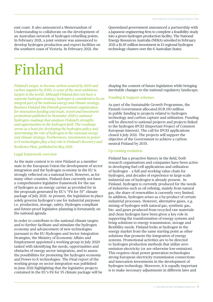east coast. It also announced a Memorandum of Understanding to collaborate on the development of an Australian network of hydrogen refuelling points. In February 2021, a joint venture was announced to develop hydrogen production and export facilities on the southern coast of Victoria. In February 2021, the

Queensland government announced a partnership with a Japanese engineering firm to complete a feasibility study into a green hydrogen production facility. The National Energy Resources Australia (NERA) unveiled in February 2021 a \$1.85 million investment in 13 regional hydrogen technology clusters over the 6 Australian States.

## Finland

*Finland's target, to become carbon neutral by 2035 and carbon negative by 2050, is some of the most ambitious targets in the world. Although Finland does not have a separate hydrogen strategy, hydrogen is considered to be an integral part of the national energy and climate strategy. Business Finland (the Finnish government organization for innovation funding and trade, travel and investment promotion) published in November 2020 a national hydrogen roadmap that analyses Finland's strengths and opportunities in the hydrogen field. The roadmap serves as a basis for developing the hydrogen policy and determining the role of hydrogen in the national energy and climate strategy. Furthermore, investments in powerto-X technologies play a key role in Finland's Recovery and Resilience Plan, published in May 2021.*

#### Legal framework overview

As the main context is to view Finland as a member state in the European Union the development of sector integration and the hydrogen economy in the EU is strongly reflected on a national level. However, as for many other counties, Finland does currently not have a comprehensive legislative framework for the use of hydrogen as an energy carrier as provided for in the proposals generated by EU's "Fit for 55" climate package of July 2021. At present, the legislation in place solely governs hydrogen's use for industrial purposes i.e. production, storage, safety. Hydrogen compliant and future-proof legislative planning is fortunately on the national agenda.

In order to contribute to the national climate targets and to further facilitate and stimulate the hydrogen economy and advancement of new technologies pursuant to the EU Hydrogen and Sector Integration Strategies, the Ministry of Economic Affairs and Employment appointed a working group in July 2020 tasked with identifying the needs, opportunities and obstacles of energy sector integration, and to assess the possibilities for promoting the hydrogen economy and Power-to-X technologies. The Final report of the working group on sector integration was published in June 2021 highlighting that the legislative projects contained in the EU's Fit for 55 climate package will be

shaping the content of future legislation while bringing inevitable changes to the national regulatory landscape.

#### Funding & Support schemes

As part of the Sustainable Growth Programme, the Finnish Government allocated EUR 150 million in public funding to projects related to hydrogen technology and carbon capture and utilisation. Funding will be directed to national projects and projects linked to the hydrogen IPCEI (Important Project of Common European Interest). The call for IPCEI applications closed 4 July 2021. The projects will support the objective of the Government to achieve a carbon neutral Finland by 2035.

#### Up-coming evolution

Finland has a proactive history in the field, both research organisations and companies have been active in developing fuel cell applications and utilisation of hydrogen - a full and working value chain for hydrogen, and decades of experience in large-scale industrial use of hydrogen is already present. In Finland, hydrogen is currently produced for the needs of industries such as oil refining, mainly from natural gas, the share of renewables is currently very limited. In addition, hydrogen arises as a by-product of certain industrial processes. However, alternative gases, e.g. mixing of hydrogen with natural gas, synthetic gas, bio- and gases produced from recycled raw materials and clean hydrogen have been given a key role in supporting the transformation of energy systems and bring solutions to energy transmission, storage and flexibility needs. Finland looks at hydrogen in the energy market from the same starting point as other solutions that promote the integration of energy systems. Promotional activities are to be directed to hydrogen production methods that utilize zeroemission electricity (or are otherwise low-emission). This requires clean power generation technologies strong European electricity transmission connections and innovation investments in the development of hydrogen technology. Moreover, it is equally important is to make necessary adjustments in different laws and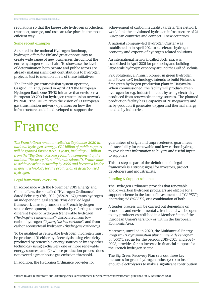#### International Green Hydrogen Report 2021

regulations so that the large-scale hydrogen production, transport, storage, and use can take place in the most efficient way.

#### Some recent examples

As stated in the national Hydrogen Roadmap, hydrogen offers for Finland great opportunity to create wide range of new businesses throughout the entire hydrogen value chain. To showcase the level of determination both private and public actors are already making significant contributions to hydrogen projects. Just to mention a few of these initiatives:

The Finnish gas transmission system operator, Gasgrid Finland, joined in April 2021 the European Hydrogen Backbone (EHB) initiative that envisions a European 39,700 km hydrogen transmission network by 2040. The EHB mirrors the vision of 23 European gas transmission network operators on how the infrastructure could be developed to support the

achievement of carbon neutrality targets. The network would link the envisioned hydrogen infrastructure of 21 European countries and connect 11 new countries.

A national company-led Hydrogen Cluster was established in in April 2021 to accelerate hydrogen economy and exports of hydrogen-related solutions.

An international network, called BotH nia, was established in April 2021 for promoting and building a large-scale hydrogen economy around the Gulf of Bothnia.

P2X Solutions, a Finnish pioneer in green hydrogen and Power-to-X technology, intends to build Finland's first green hydrogen production plant in Harjavalta. When commissioned, the facility will produce green hydrogen for e.g. industrial needs by using electricity produced from renewable energy sources. The planned production facility has a capacity of 20 megawatts and as by-products it generates oxygen and thermal energy needed by industries.

### France

*The French Government unveiled on September 2020 its national hydrogen strategy. €7.2 billion of public support will be granted for the next 10 years, including €2 billion from the "Big Green Recovery Plan", a component of the national "Recovery Plan" ("Plan de relance"). France aims to achieve carbon neutrality by 2050 and become a leader in green technology for the production of decarbonised hydrogen.* 

#### Legal framework overview

In accordance with the November 2019 Energy and Climate Law, the so-called "Hydrogen Ordinance" dated February 17th, 2021 (n°2021-167) grants hydrogen an independent legal status. This detailed legal framework aims to promote the French hydrogen sector development, in particular by referring to three different types of hydrogen (renewable hydrogen *("hydrogène renouvelable")* dissociated from low carbon hydrogen *("hydrogène bas-carbone")* and from carbonaceous/fossil hydrogen *("hydrogène carboné")).* 

To be qualified as renewable hydrogen, hydrogen must be produced (1) either by electrolysis using electricity produced by renewable energy sources or by any other technology using exclusively one or more renewable energy sources, and (2) whose production process does not exceed a greenhouse gas emission threshold.

In addition, the Hydrogen Ordinance provides for

guarantees of origin and unprecedented guarantees of traceability for renewable and low-carbon hydrogen to give clearer information to buyers and useful input to suppliers.

This 1st step as part of the definition of a legal framework is a strong signal for investors, project developers and industrialists.

#### Funding & Support schemes

The Hydrogen Ordinance provides that renewable and low-carbon hydrogen producers are eligible for a support scheme in the form of investment aid *("CAPEX"),* operating aid *("OPEX"),* or a combination of both.

A tender process will be carried out depending on economic and environmental criteria, and will be open to any producer established in a Member State of the European Union's territory or within the European Economic Area.

Moreover, unveiled in 2020, the Multiannual Energy Program *("Programmation pluriannuelle de l'énergie"*  or *"PPE"),* set up for the periods 2019–2023 and 2024– 2028, provides for an increase in financial support for the French hydrogen sector.

The Big Green Recovery Plan sets out three key measures for green hydrogen industry: (1) to install enough electrolysers to make a significant contribution

<sup>1</sup> 'Beschluß des Bundesrates zur Schaffung eines Rechtsrahmens für eine Wasserstoffwirtschaft' published on 27 November 2020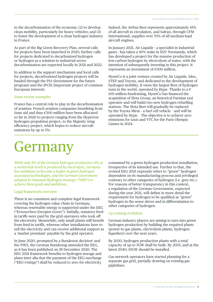to the decarbonisation of the economy; (2) to develop clean mobility, particularly for heavy vehicles; and (3) to foster the development of a clean hydrogen industry in France.

As part of the Big Green Recovery Plan, several calls for projects have been launched in 2020; further calls for projects dedicated to decarbonized hydrogen or hydrogen as a solution to industrial sector decarbonization are expected locally in 2021 and 2022.

In addition to the support mechanism and local calls for projects, decarbonized hydrogen projects will be funded through the PIA (Investment for the future program) and the IPCEI (important project of common European interest).

#### Some recent examples

France has a central role to play in the decarbonisation of aviation: French aviation companies benefiting from State aid and thus €300 million have been allocated so far in 2020 to projects ranging from the Hyperion hydrogen propulsion project, to the Majestic wing efficiency project, which hopes to reduce aircraft emissions by up to 5%.

Indeed, the Airbus fleet represents approximately 45% of all aircraft in circulation, and Safran, through CFM International, supplies over 70% of all medium-haul aircraft engines.

In January 2021, Air Liquide - a specialist in industrial gases - has taken a 40% stake in H2V Normandy, which has developed a project for the massive production of low-carbon hydrogen by electrolysis of water, with the intention of subsequently investing in this project. It represents an investment of €300 million.

HysetCo is a joint venture created by Air Liquide, Idex, STEP and Toyota, and dedicated to the development of hydrogen mobility. It owns the largest fleet of hydrogen taxis in the world, operated by Hype. Thanks to a  $\epsilon$ 100 million fundraising, HysetCo has financed the acquisition of Slota Group, an historical Parisian taxi operator and will build two new hydrogen refuelling stations. The Slota fleet will gradually be replaced by the Toyota Mirai – a fuel cell vehicle – and will be operated by Hype. The objective is to achieve zero emissions for taxis and VTC for the Paris Olympic Games in 2024.

### Germany

*While only 5% of the German hydrogen production (4% at a world-wide level) is produced by electrolysis, Germany has ambitions to become a leader in green hydrogen associated technologies, and the German Government adopted its National Hydrogen Strategy ("NWS") to achieve these goals and ambitions.* 

#### Legal framework overview

There is no consistent and complete legal framework covering the hydrogen value chain in Germany, whereas renewable energy is supported under the EEG *("Erneuerbare Energien Gesetz")*. Initially, statutory feedin tariffs were paid by the grid operators who took off the electricity. Meanwhile, only small plants still benefit from feed-in tariffs, whereas other installations have to sell the electricity and can receive additional support as a 'market premium' payable by the grid operator.

In June 2020, prompted by a Bundesrat decision<sup>1</sup> and the NWS, the German Bundestag amended the EEG, as it has been published on 28 December 2020. The EEG 2021 framework benefits to hydrogen storage and plans inter alia that the payment of the EEG-surcharge *("EEG-Umlage")* shall be reduced to zero for electricity

consumed by a green hydrogen production installation, irrespective of its intended use. Further to that, the revised EEG 2021 expressly refers to "green" hydrogen dependent on its manufacturing process and privileged contrary to other categories of hydrogen (i.e. grey etc.). For reasons of better transparency in this context, a regulation of the German Government, expected during the year 2021, will define in more detail the requirement for hydrogen to be qualified as "green" hydrogen in the sense above and in differentiation to other categories of hydrogen.

#### Up-coming evolution

German industry players are aiming to turn into green hydrogen production by building the required plants (power-to-gas plants, electrolysis plants, hydrogen liquefiers) over the next years.

By 2030, hydrogen production plants with a total capacity of up to 5GW shall be built. By 2035, and at the latest 2040, 10GW should be installed.

Gas network operators have started planning for a separate gas grid, partially drawing on existing gas piplelines.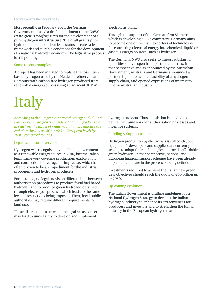#### International Green Hydrogen Report 2021

Most recently, in February 2021, the German Government passed a draft amendment to the EnWG *("Energiewirtschaftsgesetz")* for the development of a pure hydrogen infrastructure. The draft grants pure hydrogen an independent legal status, creates a legal framework and suitable conditions for the development of a national hydrogen economy. The legislative process is still pending.

#### Some recent examples

A project has been initiated to replace the fossil fuelbased hydrogen used by the Heide oil refinery near Hamburg with carbon-free hydrogen produced from renewable energy sources using an adjacent 30MW

# Italy

*According to the Integrated National Energy and Climate Plan, Green hydrogen is considered as having a key role in reaching the target of reducing Italian greenhouse gas emissions by at least 30% (40% at European level) by 2030, compared to 1990.*

#### Legal framework overview

Hydrogen was recognised by the Italian government as a renewable energy source in 2016, but the Italian legal framework covering production, exploitation and connection of hydrogen is imprecise, which has often proven to be an impediment for the industrial proponents and hydrogen producers.

For instance, no legal provision differentiates between authorisation procedures to produce fossil fuel-based hydrogen and to produce green hydrogen obtained through electrolysis process, which leads to the same level of restrictions being imposed. Then, local public authorities may require different requirements for land use.

These discrepancies between the legal areas concerned may lead to uncertainty to develop and implement

electrolysis plant.

Through the support of the German firm Siemens, which is developing "P2X" converters, Germany aims to become one of the main exporters of technologies for converting electrical energy into chemical, liquid or gaseous energy sources, such as hydrogen.

The German's NWS also seeks to import substantial quantities of hydrogen from partner countries. In that perspective and as announced by the Australian Government, Australia and Germany announced a partnership to assess the feasibility of a hydrogen supply chain, and opened expressions of interest to involve Australian industry.

hydrogen projects. Thus, legislation is needed to define the framework for authorisation processes and incentive systems.

#### Funding & Support schemes

Hydrogen production by electrolysis is still costly, but equipment's developers and suppliers are currently seeking to adapt their technologies to provide affordable green hydrogen. In that perspective, national and European financial support schemes have been already implemented or are in the process of being defined.

Investments required to achieve the Italian new green deal objectives should reach the quota of €50 billion up to 2030.

#### Up-coming evolution

The Italian Government is drafting guidelines for a National Hydrogen Strategy to develop the Italian hydrogen industry to enhance its attractiveness for producers and investors and to strengthen the Italian industry in the European hydrogen market.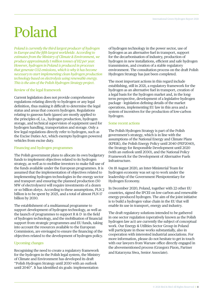## Poland

*Poland is currently the third largest producer of hydrogen in Europe and the fifth largest worldwide. According to estimates from the Ministry of Climate & Environment, we produce approximately 1 million tonnes of H2 per year. However, hydrogen in Poland is produced in processes that generate CO2 emissions, which is why it has become necessary to start implementing clean hydrogen production technology based on electrolysis using renewable energy. This is the aim of the Polish Hydrogen Strategy project.*

#### Review of the legal framework

Current legislation does not provide comprehensive regulations relating directly to hydrogen or any legal definition, thus making it difficult to determine the legal status and areas that concern hydrogen. Regulations relating to gaseous fuels (gases) are mostly applied to the principles of, i.a., hydrogen production, hydrogen storage, and technical supervision of equipment used for hydrogen handling, transportation and storage. Only a few legal regulations directly refer to hydrogen, such as the Excise Duties Act, which exempts hydrogen powered vehicles from excise duty.

#### Financing and hydrogen programmes

The Polish government plans to allocate its own budgetary funds to implement objectives related to its hydrogen strategy, as well as to mobilise investors to make full use of the funds available under the European programmes. It is assumed that the implementation of objectives related to implementing hydrogen technologies in the energy sector and transport and ensuring the planned production (50 MW of electrolysers) will require investments of a dozen or so billion zlotys. According to these assumptions, PLN 2 billion is to be spent by 2025, and a total of almost PLN 17 billion by 2030.

The establishment of a multiannual programme to support development of hydrogen technology, as well as the launch of programmes to support  $R & D$  in the field of hydrogen technology, and the mobilisation of financial support from strategic programmes and EU funds, taking into account the resources available to the European Commission, are envisaged to ensure the financing of the objectives related to the development of hydrogen policy.

#### Upcoming changes

Recognising the need to create a regulatory framework for the hydrogen in the Polish legal system, the Ministry of Climate and Environment has developed its draft "Polish Hydrogen Strategy until 2030 with an outlook until 2040". It has identified six goals: implementation

of hydrogen technology in the power sector, use of hydrogen as an alternative fuel in transport, support for the decarbonisation of industry, production of hydrogen in new installations, efficient and safe hydrogen transmission, and creation of a stable regulatory environment. The consultation process on the draft Polish Hydrogen Strategy has just been completed.

The most important actions in this regard include establishing, still in 2021, a regulatory framework for the hydrogen as an alternative fuel in transport, creation of a legal basis for the hydrogen market and, in the longterm perspective, development of a legislative hydrogen package - legislation defining details of the market operations, implementing EU law in this area and a system of incentives for the production of low-carbon hydrogen.

#### Some recent actions

The Polish Hydrogen Strategy is part of the Polish government's strategy, which is in line with the assumptions of the National Energy and Climate Plans (KPEiK), the Polish Energy Policy until 2040 (PEP2040), the Strategy for Responsible Development until 2020 (with an outlook until 2030), and the National Policy Framework for the Development of Alternative Fuels Infrastructure.

On 18 August 2020, an Inter-Ministerial Team for hydrogen economy was set up to work under the leadership of the Government Plenipotentiary for Hydrogen Economy.

In December 2020, Poland, together with 22 other EU countries, signed the IPCEI on low-carbon and renewable energy-produced hydrogen. The aim of the joint initiative is to build a hydrogen value chain in the EU that will enable its use in transport, energy and industry.

The draft regulatory solutions intended to be gathered in one sector regulation (operatively known as the Polish hydrogen law act) are currently the subject of conceptual work. Our Energy & Utilities Sector Group in Poland will participate in those works substantially, also in cooperation with interested industrial associations. For more information, please do not hesitate to get in touch with our lawyers from Warsaw office directly engaged in the abovementioned process (Grzegorz Pizon, Partner and Katarzyna Siwa, Senior Associate).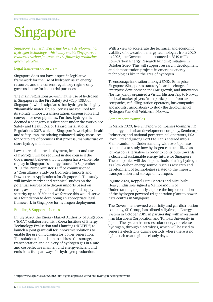# Singapore

*Singapore is emerging as a hub for the development of hydrogen technology, which may enable Singapore to reduce its carbon footprint in the future by producing green hydrogen.*

#### Legal framework overview

Singapore does not have a specific legislative framework for the use of hydrogen as an energy resource, and the current regulatory regime only governs its use for industrial purposes.

The main regulations governing the use of hydrogen in Singapore is the Fire Safety Act (Cap. 109A of Singapore), which stipulates that hydrogen is a highly "flammable material", so licenses are required for its storage, import, transportation, dispensation and conveyance over pipelines. Further, hydrogen is deemed a "dangerous substance" under the Workplace Safety and Health (Major Hazard Installations) Regulations 2017, which is Singapore's workplace health and safety laws, mandating enhanced safety measures for occupiers of premises that process, manufacture or store hydrogen in bulk.

Laws to regulate the deployment, import and use of hydrogen will be required in due course if the Government believes that hydrogen has a viable role to play in Singapore's energy future. In September 2019, the Prime Minister's Office commissioned a "Consultancy Study on Hydrogen Imports and Downstream Applications for Singapore". The study will involve market and technical studies on the potential sources of hydrogen imports based on costs, availability, technical feasibility and supply security up to 2050; and we foresee this would serve as a foundation to developing an appropriate legal framework in Singapore for hydrogen deployment.

#### Funding & Support schemes

In July 2020, the Energy Market Authority of Singapore ("EMA") collaborated with Korea Institute of Energy Technology Evaluation and Planning ("KETEP") to launch a joint grant call for innovative solutions to enable the use of hydrogen for power generation. The solutions should aim to address the storage, transportation and delivery of hydrogen gas in a safe and cost-effective manner, and energy-efficient and emissions-free pathways for hydrogen production.

With a view to accelerate the technical and economic viability of low-carbon energy technologies from 2020 to 2025, the Government announced a S\$49 million Low-Carbon Energy Research Funding Initiative in October 2020. This will support research, development and demonstration projects in emerging energy technologies like in the area of hydrogen.

To encourage innovation amongst SMEs, Enterprise Singapore (Singapore's statutory board in charge of enterprise development and SME growth) and Innovation Norway jointly organised a Virtual Mission Trip to Norway for local market players (with participation from taxi companies, refuelling station operators, bus companies and industry associations) to study the deployment of Hydrogen Fuel Cell Vehicles in Norway.

#### Some recent examples

In March 2020, five Singapore companies (comprising of energy and urban development company, Sembcorp Industries; and national port terminal operators, PSA Corp. Ltd and Jurong Port Pte. Ltd.) entered into a Memorandum of Understanding with two Japanese companies to study how hydrogen can be utilized as a low-carbon alternative in order to contribute towards a clean and sustainable energy future for Singapore. The companies will develop methods of using hydrogen as a low carbon energy source, such as research and development of technologies related to the import, transportation and storage of hydrogen.

In June 2020, Keppel Data Centres and Mitsubishi Heavy Industries signed a Memorandum of Understanding to jointly explore the implementation of the hydrogen powered tri-generation plant to power data centres in Singapore.

The Government-owned electricity and gas distribution company, SP Group, has piloted a Hydrogen Energy System in October 2019, in partnership with investment firm Marubeni Corporation and Tohoku University in Japan. The system harnesses solar energy to release hydrogen, through electrolysis, which will be used to generate electricity during periods where there is no light, such as at night or cloudy days.

2 https://www.sgn.co.uk/news/h100-fife-ofgem-approved-world-first-hydrogen-heating-network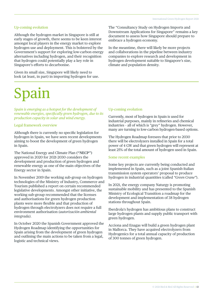#### Up-coming evolution

Although the hydrogen market in Singapore is still at early stages of growth, there seems to be keen interest amongst local players in the energy market to explore hydrogen use and deployment. This is bolstered by the Government's support for exploring low-carbon energy alternatives including hydrogen, and their recognition that hydrogen could potentially play a key role in Singapore's efforts to decarbonise.

Given its small size, Singapore will likely need to look (at least, in part) in importing hydrogen for use.

# Spain

*Spain is emerging as a hotspot for the development of renewable energies, specifically green hydrogen, due to its production capacity in solar and wind energy.*

#### Legal framework overview

Although there is currently no specific legislation for hydrogen in Spain, we have seen recent developments aiming to boost the development of green hydrogen in Spain.

The National Energy and Climate Plan **("NECP")** approved in 2020 for 2021-2030 considers the development and production of green hydrogen and renewable energy as one of the main objectives of the Energy sector in Spain.

In November 2019 the working sub-group on hydrogen technologies of the Ministry of Industry, Commerce and Tourism published a report on certain recommended legislative developments. Amongst other initiative, the working sub-group recommended that the licenses and authorisations for green hydrogen production plants were more flexible and that production of hydrogen through electrolyzers does not require a full environment authorisation *(autorización ambiental integrada).*

In October 2020 the Spanish Government approved the Hydrogen Roadmap identifying the opportunities for Spain arising from the development of green hydrogen and outlining the main actions to be taken from a legal, logistic and technical views.

The "Consultancy Study on Hydrogen Imports and Downstream Applications for Singapore" remains a key document to assess how Singapore should prepare to embrace a hydrogen economy.

In the meantime, there will likely be more projects and collaborations in the pipeline between industry companies to explore research and development in hydrogen development suitable to Singapore's size, climate and population density.

#### Up-coming evolution

Currently, most of hydrogen in Spain is used for industrial purposes, mainly in refineries and chemical industries – all of which is "grey" hydrogen. However, many are turning to low-carbon hydrogen-based options.

The Hydrogen Roadmap foresees that prior to 2030 there will be electrolyzers installed in Spain for a total power of 4 GW and that green hydrogen will represent at least 25% of the total amount of hydrogen used in Spain.

#### Some recent examples

Some key projects are currently being conducted and implemented in Spain, such as a joint Spanish-Italian transmission system operators' proposal to produce hydrogen in industrial quantities (called *"Green Crane"*).

In 2021, the energy company Naturgy is promoting sustainable mobility and has presented to the Spanish Ministry of Ecological Transition a roadmap for the development and implementation of 38 hydrogen stations throughout Spain.

Iberdrola's hydrogen has ambitious plans to construct large hydrogen plants and supply public transport with green hydrogen.

Acciona and Enagas will build a green hydrogen plant in Mallorca. They have acquired electrolyzers from Hydrogenics for a total annual capacity of production of 300 tonnes of green hydrogen.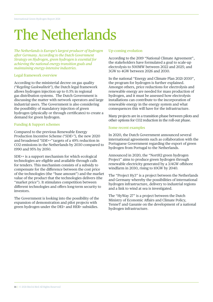## The Netherlands

*The Netherlands is Europe's largest producer of hydrogen after Germany. According to the Dutch Government Strategy on Hydrogen, green hydrogen is essential for achieving the national energy transition goals and maintaining energy-intensive industries.*

#### Legal framework overview

According to the ministerial decree on gas quality *("Regeling Gaskwaliteit"),* the Dutch legal framework allows hydrogen injection up to 0.5% in regional gas distribution systems. The Dutch Government is discussing the matter with network operators and large industrial users. The Government is also considering the possibility of mandatory injection of green hydrogen (physically or through certificates) to create a demand for green hydrogen.

#### Funding & Support schemes

Compared to the previous Renewable Energy Production Incentive Scheme *("SDE+"),* the new 2020 and broadened *"SDE++"* targets of a 49% reduction in CO2 emissions in the Netherlands by 2030 compared to 1990 and 95% by 2050.

SDE++ is a support mechanism for which ecological technologies are eligible and available through calls for tenders. This mechanism consists of a subsidy to compensate for the difference between the cost price of the technologies (the "base amount") and the market value of the product that the technologies delivers (the "market price"). It stimulates competition between different technologies and offers long-term security to investors.

The Government is looking into the possibility of the expansion of demonstration and pilot projects with green hydrogen under the DEI+ and HER+ subsidies.

#### Up-coming evolution

According to the 2019 "National Climate Agreement", the stakeholders have formulated a goal to scale-up electrolysis to 500MW between 2022 and 2025; and 3GW to 4GW between 2026 and 2030.

In the national "Energy and Climate Plan 2021-2030", the program for hydrogen is further explained. Amongst others, price reductions for electrolysis and renewable energy are needed for mass production of hydrogen, and it must be assessed how electrolysis installations can contribute to the incorporation of renewable energy in the energy system and what consequences this will have for the infrastructure.

Many projects are in a transition phase between pilots and other options for CO2 reduction in the roll-out phase.

#### Some recent examples

In 2020, the Dutch Government announced several international agreements such as collaboration with the Portuguese Government regarding the export of green hydrogen from Portugal to the Netherlands.

Announced in 2020, the "NortH2 green hydrogen Project" aims to produce green hydrogen through renewable electricity generated by a 3/4GW offshore windfarm in 2030, rising to 10GW by 2040.

The "Project Hy3" is a project between the Netherlands and Germany whereby the possibilities of international hydrogen infrastructure, delivery to industrial regions and a link to wind at sea is investigated.

The "HyWay 27" is a project between the Dutch Ministry of Economic Affairs and Climate Policy, TenneT and Gasunie on the development of a national hydrogen infrastructure.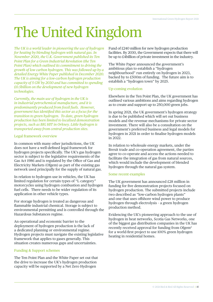## The United Kingdom

*The UK is a world leader in pioneering the use of hydrogen for heating by blending hydrogen with natural gas. In November 2020, the U.K. Government published its Ten Point Plan for a Green Industrial Revolution (the Ten Point Plan) which outlined its commitment to driving the growth of low carbon hydrogen. This was followed up by a detailed Energy White Paper published in December 2020. The UK is aiming for a low-carbon hydrogen production capacity of 5 GW by 2030 and has committed to spending £0.5billion on the development of new hydrogen technologies.*

*Currently, the main use of hydrogen in the UK is in industrial petrochemical manufacture, and it is predominantly produced from fossil fuels. However, government has identified this sector as a focus for the transition to green hydrogen. To date, green hydrogen production has been limited to localised demonstration projects, such as BIG HIT in Orkney. Little hydrogen is transported away from central production sites.* 

#### Legal framework overview

In common with many other jurisdictions, the UK does not have a well-defined legal framework for hydrogen projects specifically. The UK's gas hydrogen sector is subject to the legislative requirements of the Gas Act 1986 and is regulated by the Office of Gas and Electricity Markets (Ofgem) as part of the existing gas network used principally for the supply of natural gas.

In relation to hydrogen use in vehicles, the UK has limited regulation for certain types of "L category" motorcycles using hydrogen combustion and hydrogen fuel cells. There needs to be wider regulation of its application in other vehicle types.

For storage hydrogen is treated as dangerous and flammable industrial chemical. Storage is subject to environmental permitting and is controlled through the Hazardous Substances regime.

An operational and economic barrier to the deployment of hydrogen production is the lack of a dedicated planning or environmental regime. Hydrogen projects must navigate the existing legislative framework that applies to gases generally. This situation creates numerous gaps and uncertainties.

#### Funding & Support schemes

The Ten Point Plan and the White Paper set out that the drive to increase the UK's hydrogen production capacity will be supported by a Net Zero Hydrogen

Fund of £240 million for new hydrogen production facilities. By 2030, the Government expects that there will be up to £4billion of private investment in the industry.

The White Paper announced the government's ambitious plan to establish a "hydrogen neighbourhood" run entirely on hydrogen in 2023, backed by to £500m of funding. The future aim is to establish a "hydrogen town" by 2025.

#### Up-coming evolution

Elsewhere in the Ten Point Plan, the UK government has outlined various ambitions and aims regarding hydrogen as to create and support up to 250,000 green jobs.

In spring 2021, the UK government's hydrogen strategy is due to be published which will set out business models and the revenue mechanisms for private sector investment. There will also be a consultation on the government's preferred business and legal models for hydrogen in 2021 in order to finalise hydrogen models in 2022.

In relation to wholesale energy markets, under the Brexit trade and co-operation agreement, the parties agree to co-operate and access the actions needed to facilitate the integration of gas from natural sources, which would include the development of blended hydrogen through the natural gas system.

#### Some recent examples

The UK government has announced £28 million in funding for five demonstration projects focused on hydrogen production. The submitted projects include two described as "low-carbon hydrogen plants" and one that uses offshore wind power to produce hydrogen through electrolysis – a green hydrogen production method.

Evidencing the UK's pioneering approach to the use of hydrogen in heat networks, Scotia Gas Networks, one of the biggest gas distribution companies in the UK has recently received approval for funding from Ofgem<sup>2</sup> for a world-first project to use 100% green hydrogen heating in residential homes.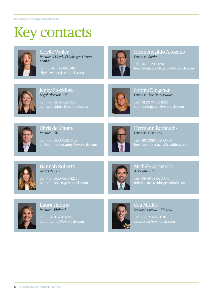International Green Hydrogen Report 2021

### Key contacts



Sibylle Weiler *Partner & Head of Hydrogen Group – France* 

Tel: +33 (0)1 42 68 6016 sibylle.weiler@twobirds.com



Hermenegildo Altozano *Partner – Spain* 

Tel: +34 91 790 3202 hermenegildo.altozano@twobirds.com



Jenny Stockford *Legal Director – UK*

Tel: +44 (0)20 3017 6913 jenny.stockford@twobirds.com



Sophie Dingenen *Partner – The Netherlands*

Tel: +31 (0)70 353 8812 sophie.dingenen@twobirds.com



Chris de Mauny *Partner - UK*

Tel: +44 (0)20 7982 6462 christopher.demauny@twobirds.com



Hermann Rothfuchs *Partner – Germany* 

Tel: +49 (0)89 3581 6000 hermann.rothfuchs@twobirds.com



### Hannah Roberts *Associate – UK*

Tel: +44 (0)20 7905 6258 hannah.roberts@twobirds.com



Michele Arruzzolo *Associate – Italy*

Tel: +39 06 69 66 70 41 michele.arruzzolo@twobirds.com



#### Laura Huomo *Partner – Finland*

Tel: +358 9 6226 6215 laura.huomo@twobirds.com



Cea Mittler *Senior Associate – Finland*

Tel: + 358 9 6226 6217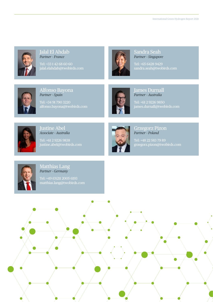

Jalal El Ahdab *Partner – France*

jalal.elahdab@twobirds.com



Sandra Seah *Partner – Singapore*

Tel: +65 6428 9429 sandra.seah@twobirds.com



Alfonso Bayona *Partner – Spain*

Tel: +34 91 790 3220 alfonso.bayona@twobirds.com



James Durnall *Partner – Australia*

Tel: +61 2 9226 9850 james.durnall@twobirds.com



Justine Abel *Associate – Australia* 

Tel: +61 2 9226 9838 justine.abel@twobirds.com



Grzegorz Pizon *Partner – Poland* 

grzegorz.pizon@twobirds.com



#### Matthias Lang *Partner – Germany*

Tel: +49 (0)211 2005 6193 matthias.lang@twobirds.com

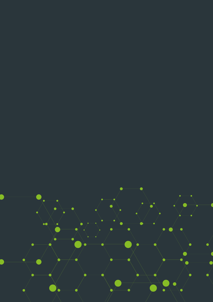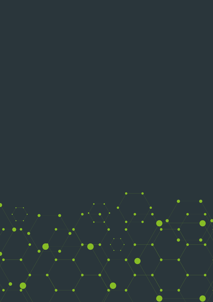